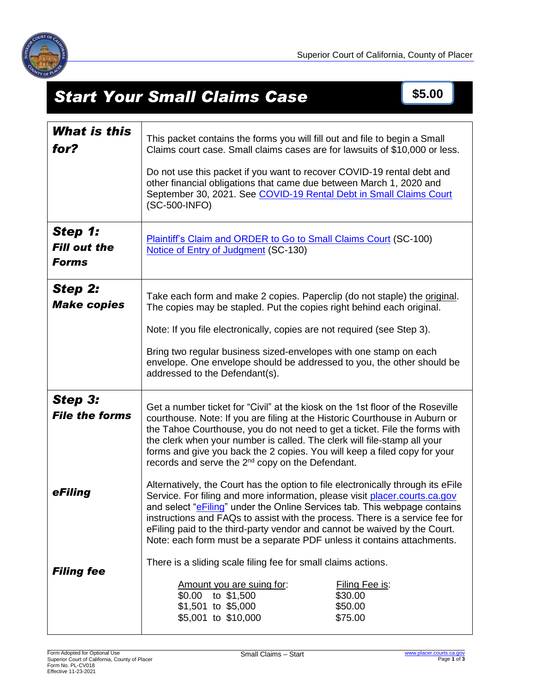

# **Start Your Small Claims Case \$5.00**

| <b>What is this</b><br>for?                    | This packet contains the forms you will fill out and file to begin a Small<br>Claims court case. Small claims cases are for lawsuits of \$10,000 or less.<br>Do not use this packet if you want to recover COVID-19 rental debt and<br>other financial obligations that came due between March 1, 2020 and<br>September 30, 2021. See COVID-19 Rental Debt in Small Claims Court<br>(SC-500-INFO)                                                                                   |
|------------------------------------------------|-------------------------------------------------------------------------------------------------------------------------------------------------------------------------------------------------------------------------------------------------------------------------------------------------------------------------------------------------------------------------------------------------------------------------------------------------------------------------------------|
| Step 1:<br><b>Fill out the</b><br><b>Forms</b> | <b>Plaintiff's Claim and ORDER to Go to Small Claims Court (SC-100)</b><br>Notice of Entry of Judgment (SC-130)                                                                                                                                                                                                                                                                                                                                                                     |
| <b>Step 2:</b><br><b>Make copies</b>           | Take each form and make 2 copies. Paperclip (do not staple) the original.<br>The copies may be stapled. Put the copies right behind each original.<br>Note: If you file electronically, copies are not required (see Step 3).<br>Bring two regular business sized-envelopes with one stamp on each<br>envelope. One envelope should be addressed to you, the other should be<br>addressed to the Defendant(s).                                                                      |
| <b>Step 3:</b><br><b>File the forms</b>        | Get a number ticket for "Civil" at the kiosk on the 1st floor of the Roseville<br>courthouse. Note: If you are filing at the Historic Courthouse in Auburn or<br>the Tahoe Courthouse, you do not need to get a ticket. File the forms with<br>the clerk when your number is called. The clerk will file-stamp all your<br>forms and give you back the 2 copies. You will keep a filed copy for your<br>records and serve the 2 <sup>nd</sup> copy on the Defendant.                |
| eFiling                                        | Alternatively, the Court has the option to file electronically through its eFile<br>Service. For filing and more information, please visit placer.courts.ca.gov<br>and select "eFiling" under the Online Services tab. This webpage contains<br>instructions and FAQs to assist with the process. There is a service fee for<br>eFiling paid to the third-party vendor and cannot be waived by the Court.<br>Note: each form must be a separate PDF unless it contains attachments. |
| <b>Filing fee</b>                              | There is a sliding scale filing fee for small claims actions.<br>Amount you are suing for:<br>Filing Fee is:<br>\$0.00 to \$1,500<br>\$30.00<br>\$1,501 to \$5,000<br>\$50.00<br>\$5,001 to \$10,000<br>\$75.00                                                                                                                                                                                                                                                                     |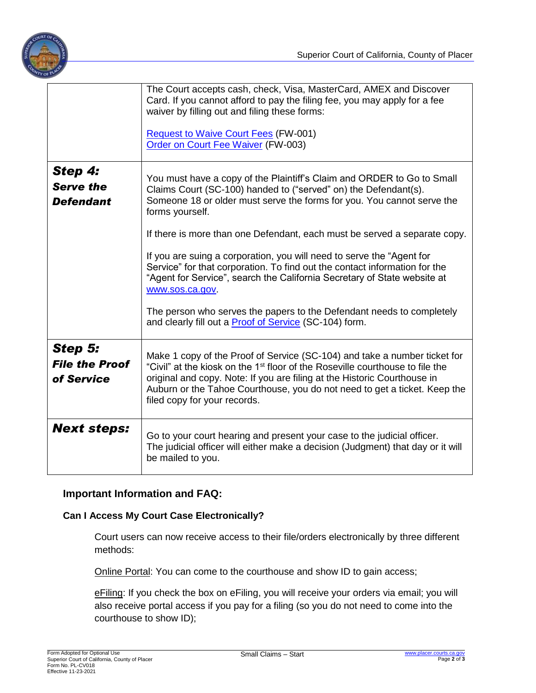

|                                                 | The Court accepts cash, check, Visa, MasterCard, AMEX and Discover<br>Card. If you cannot afford to pay the filing fee, you may apply for a fee<br>waiver by filling out and filing these forms:<br><b>Request to Waive Court Fees (FW-001)</b><br>Order on Court Fee Waiver (FW-003)                                                                                                                                                                                                                                                                                                                                                                                                                               |
|-------------------------------------------------|---------------------------------------------------------------------------------------------------------------------------------------------------------------------------------------------------------------------------------------------------------------------------------------------------------------------------------------------------------------------------------------------------------------------------------------------------------------------------------------------------------------------------------------------------------------------------------------------------------------------------------------------------------------------------------------------------------------------|
| Step 4:<br><b>Serve the</b><br><b>Defendant</b> | You must have a copy of the Plaintiff's Claim and ORDER to Go to Small<br>Claims Court (SC-100) handed to ("served" on) the Defendant(s).<br>Someone 18 or older must serve the forms for you. You cannot serve the<br>forms yourself.<br>If there is more than one Defendant, each must be served a separate copy.<br>If you are suing a corporation, you will need to serve the "Agent for<br>Service" for that corporation. To find out the contact information for the<br>"Agent for Service", search the California Secretary of State website at<br>www.sos.ca.gov.<br>The person who serves the papers to the Defendant needs to completely<br>and clearly fill out a <b>Proof of Service</b> (SC-104) form. |
| Step 5:<br><b>File the Proof</b><br>of Service  | Make 1 copy of the Proof of Service (SC-104) and take a number ticket for<br>"Civil" at the kiosk on the 1 <sup>st</sup> floor of the Roseville courthouse to file the<br>original and copy. Note: If you are filing at the Historic Courthouse in<br>Auburn or the Tahoe Courthouse, you do not need to get a ticket. Keep the<br>filed copy for your records.                                                                                                                                                                                                                                                                                                                                                     |
| <b>Next steps:</b>                              | Go to your court hearing and present your case to the judicial officer.<br>The judicial officer will either make a decision (Judgment) that day or it will<br>be mailed to you.                                                                                                                                                                                                                                                                                                                                                                                                                                                                                                                                     |

## **Important Information and FAQ:**

#### **Can I Access My Court Case Electronically?**

Court users can now receive access to their file/orders electronically by three different methods:

Online Portal: You can come to the courthouse and show ID to gain access;

eFiling: If you check the box on eFiling, you will receive your orders via email; you will also receive portal access if you pay for a filing (so you do not need to come into the courthouse to show ID);